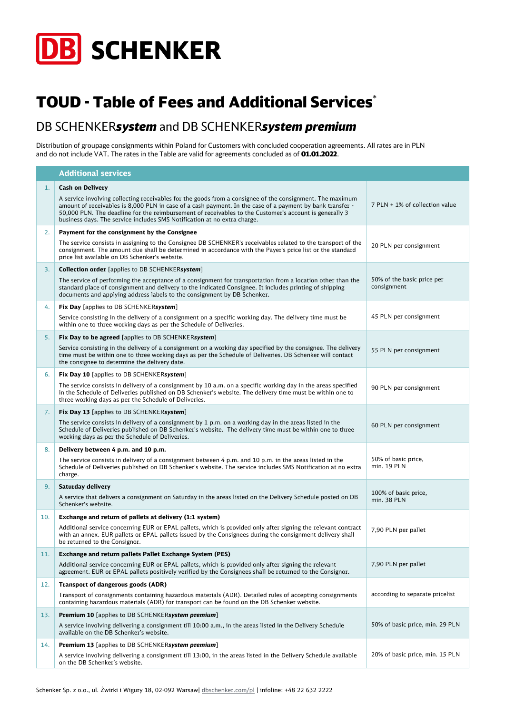

## TOUD - Table of Fees and Additional Services\*

## DB SCHENKER*system* and DB SCHENKER*system premium*

Distribution of groupage consignments within Poland for Customers with concluded cooperation agreements. All rates are in PLN and do not include VAT. The rates in the Table are valid for agreements concluded as of **01.01.2022**.

|     | <b>Additional services</b>                                                                                                                                                                                                                                                                                                                                                                                   |                                           |
|-----|--------------------------------------------------------------------------------------------------------------------------------------------------------------------------------------------------------------------------------------------------------------------------------------------------------------------------------------------------------------------------------------------------------------|-------------------------------------------|
| 1.  | <b>Cash on Delivery</b>                                                                                                                                                                                                                                                                                                                                                                                      |                                           |
|     | A service involving collecting receivables for the goods from a consignee of the consignment. The maximum<br>amount of receivables is 8,000 PLN in case of a cash payment. In the case of a payment by bank transfer -<br>50,000 PLN. The deadline for the reimbursement of receivables to the Customer's account is generally 3<br>business days. The service includes SMS Notification at no extra charge. | 7 PLN + 1% of collection value            |
| 2.  | Payment for the consignment by the Consignee                                                                                                                                                                                                                                                                                                                                                                 |                                           |
|     | The service consists in assigning to the Consignee DB SCHENKER's receivables related to the transport of the<br>consignment. The amount due shall be determined in accordance with the Payer's price list or the standard<br>price list available on DB Schenker's website.                                                                                                                                  | 20 PLN per consignment                    |
| 3.  | <b>Collection order [applies to DB SCHENKERsystem]</b>                                                                                                                                                                                                                                                                                                                                                       |                                           |
|     | The service of performing the acceptance of a consignment for transportation from a location other than the<br>standard place of consignment and delivery to the indicated Consignee. It includes printing of shipping<br>documents and applying address labels to the consignment by DB Schenker.                                                                                                           | 50% of the basic price per<br>consignment |
| 4.  | <b>Fix Day</b> [applies to DB SCHENKERsystem]                                                                                                                                                                                                                                                                                                                                                                |                                           |
|     | Service consisting in the delivery of a consignment on a specific working day. The delivery time must be<br>within one to three working days as per the Schedule of Deliveries.                                                                                                                                                                                                                              | 45 PLN per consignment                    |
| 5.  | Fix Day to be agreed [applies to DB SCHENKERsystem]                                                                                                                                                                                                                                                                                                                                                          |                                           |
|     | Service consisting in the delivery of a consignment on a working day specified by the consignee. The delivery<br>time must be within one to three working days as per the Schedule of Deliveries. DB Schenker will contact<br>the consignee to determine the delivery date.                                                                                                                                  | 55 PLN per consignment                    |
| 6.  | <b>Fix Day 10</b> [applies to DB SCHENKERsystem]                                                                                                                                                                                                                                                                                                                                                             |                                           |
|     | The service consists in delivery of a consignment by 10 a.m. on a specific working day in the areas specified<br>in the Schedule of Deliveries published on DB Schenker's website. The delivery time must be within one to<br>three working days as per the Schedule of Deliveries.                                                                                                                          | 90 PLN per consignment                    |
| 7.  | Fix Day 13 [applies to DB SCHENKERsystem]                                                                                                                                                                                                                                                                                                                                                                    |                                           |
|     | The service consists in delivery of a consignment by $1 p.m.$ on a working day in the areas listed in the<br>Schedule of Deliveries published on DB Schenker's website. The delivery time must be within one to three<br>working days as per the Schedule of Deliveries.                                                                                                                                     | 60 PLN per consignment                    |
| 8.  | Delivery between 4 p.m. and 10 p.m.                                                                                                                                                                                                                                                                                                                                                                          |                                           |
|     | The service consists in delivery of a consignment between $4$ p.m. and 10 p.m. in the areas listed in the<br>Schedule of Deliveries published on DB Schenker's website. The service includes SMS Notification at no extra<br>charge.                                                                                                                                                                         | 50% of basic price,<br>min. 19 PLN        |
| 9.  | Saturday delivery                                                                                                                                                                                                                                                                                                                                                                                            |                                           |
|     | A service that delivers a consignment on Saturday in the areas listed on the Delivery Schedule posted on DB<br>Schenker's website.                                                                                                                                                                                                                                                                           | 100% of basic price,<br>min. 38 PLN       |
| 10. | Exchange and return of pallets at delivery (1:1 system)                                                                                                                                                                                                                                                                                                                                                      |                                           |
|     | Additional service concerning EUR or EPAL pallets, which is provided only after signing the relevant contract<br>with an annex. EUR pallets or EPAL pallets issued by the Consignees during the consignment delivery shall<br>be returned to the Consignor.                                                                                                                                                  | 7,90 PLN per pallet                       |
| 11. | Exchange and return pallets Pallet Exchange System (PES)                                                                                                                                                                                                                                                                                                                                                     |                                           |
|     | Additional service concerning EUR or EPAL pallets, which is provided only after signing the relevant<br>agreement. EUR or EPAL pallets positively verified by the Consignees shall be returned to the Consignor.                                                                                                                                                                                             | 7,90 PLN per pallet                       |
| 12. | <b>Transport of dangerous goods (ADR)</b>                                                                                                                                                                                                                                                                                                                                                                    |                                           |
|     | Transport of consignments containing hazardous materials (ADR). Detailed rules of accepting consignments<br>containing hazardous materials (ADR) for transport can be found on the DB Schenker website.                                                                                                                                                                                                      | according to separate pricelist           |
| 13. | Premium 10 [applies to DB SCHENKERsystem premium]                                                                                                                                                                                                                                                                                                                                                            |                                           |
|     | A service involving delivering a consignment till 10:00 a.m., in the areas listed in the Delivery Schedule<br>available on the DB Schenker's website.                                                                                                                                                                                                                                                        | 50% of basic price, min. 29 PLN           |
| 14. | <b>Premium 13</b> [applies to DB SCHENKERsystem premium]                                                                                                                                                                                                                                                                                                                                                     |                                           |
|     | A service involving delivering a consignment till 13:00, in the areas listed in the Delivery Schedule available<br>on the DB Schenker's website.                                                                                                                                                                                                                                                             | 20% of basic price, min. 15 PLN           |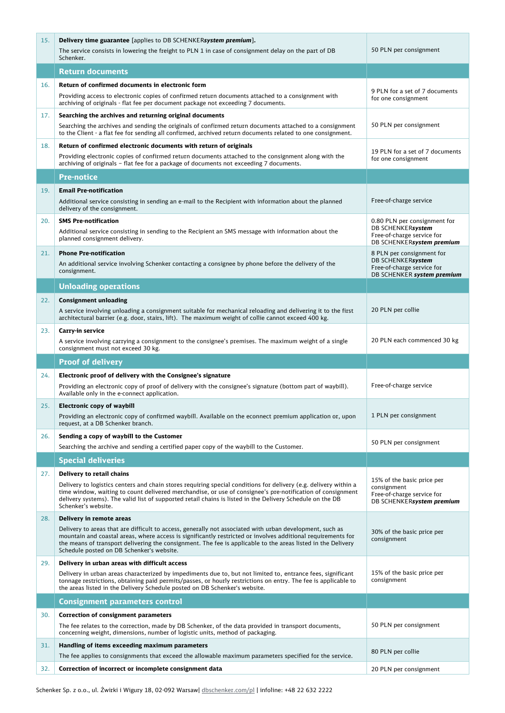| 15. | <b>Delivery time guarantee</b> [applies to DB SCHENKERsystem premium].                                                                                                                                                                                                                                                                                                                                            |                                                                                                              |
|-----|-------------------------------------------------------------------------------------------------------------------------------------------------------------------------------------------------------------------------------------------------------------------------------------------------------------------------------------------------------------------------------------------------------------------|--------------------------------------------------------------------------------------------------------------|
|     | The service consists in lowering the freight to PLN 1 in case of consignment delay on the part of DB<br>Schenker.                                                                                                                                                                                                                                                                                                 | 50 PLN per consignment                                                                                       |
|     | <b>Return documents</b>                                                                                                                                                                                                                                                                                                                                                                                           |                                                                                                              |
| 16. | Return of confirmed documents in electronic form<br>Providing access to electronic copies of confirmed return documents attached to a consignment with<br>archiving of originals - flat fee per document package not exceeding 7 documents.                                                                                                                                                                       | 9 PLN for a set of 7 documents<br>for one consignment                                                        |
| 17. | Searching the archives and returning original documents<br>Searching the archives and sending the originals of confirmed return documents attached to a consignment<br>to the Client - a flat fee for sending all confirmed, archived return documents related to one consignment.                                                                                                                                | 50 PLN per consignment                                                                                       |
| 18. | Return of confirmed electronic documents with return of originals<br>Providing electronic copies of confirmed return documents attached to the consignment along with the<br>archiving of originals - flat fee for a package of documents not exceeding 7 documents.                                                                                                                                              | 19 PLN for a set of 7 documents<br>for one consignment                                                       |
|     | Pre-notice                                                                                                                                                                                                                                                                                                                                                                                                        |                                                                                                              |
| 19. | <b>Email Pre-notification</b><br>Additional service consisting in sending an e-mail to the Recipient with information about the planned<br>delivery of the consignment.                                                                                                                                                                                                                                           | Free-of-charge service                                                                                       |
| 20. | <b>SMS Pre-notification</b><br>Additional service consisting in sending to the Recipient an SMS message with information about the<br>planned consignment delivery.                                                                                                                                                                                                                                               | 0.80 PLN per consignment for<br>DB SCHENKERsystem<br>Free-of-charge service for<br>DB SCHENKERsystem premium |
| 21. | <b>Phone Pre-notification</b><br>An additional service involving Schenker contacting a consignee by phone before the delivery of the<br>consignment.                                                                                                                                                                                                                                                              | 8 PLN per consignment for<br>DB SCHENKERsystem<br>Free-of-charge service for<br>DB SCHENKER system premium   |
|     | <b>Unloading operations</b>                                                                                                                                                                                                                                                                                                                                                                                       |                                                                                                              |
| 22. | <b>Consignment unloading</b><br>A service involving unloading a consignment suitable for mechanical reloading and delivering it to the first<br>architectural barrier (e.g. door, stairs, lift). The maximum weight of collie cannot exceed 400 kg.                                                                                                                                                               | 20 PLN per collie                                                                                            |
| 23. | Carry-in service<br>A service involving carrying a consignment to the consignee's premises. The maximum weight of a single<br>consignment must not exceed 30 kg.                                                                                                                                                                                                                                                  | 20 PLN each commenced 30 kg                                                                                  |
|     |                                                                                                                                                                                                                                                                                                                                                                                                                   |                                                                                                              |
|     | <b>Proof of delivery</b>                                                                                                                                                                                                                                                                                                                                                                                          |                                                                                                              |
| 24. | Electronic proof of delivery with the Consignee's signature<br>Providing an electronic copy of proof of delivery with the consignee's signature (bottom part of waybill).<br>Available only in the e-connect application.                                                                                                                                                                                         | Free-of-charge service                                                                                       |
| 25. | <b>Electronic copy of waybill</b><br>Providing an electronic copy of confirmed waybill. Available on the econnect premium application or, upon<br>request, at a DB Schenker branch.                                                                                                                                                                                                                               | 1 PLN per consignment                                                                                        |
| 26. | Sending a copy of waybill to the Customer<br>Searching the archive and sending a certified paper copy of the waybill to the Customer.                                                                                                                                                                                                                                                                             | 50 PLN per consignment                                                                                       |
|     | <b>Special deliveries</b>                                                                                                                                                                                                                                                                                                                                                                                         |                                                                                                              |
| 27. | <b>Delivery to retail chains</b><br>Delivery to logistics centers and chain stores requiring special conditions for delivery (e.g. delivery within a<br>time window, waiting to count delivered merchandise, or use of consignee's pre-notification of consignment<br>delivery systems). The valid list of supported retail chains is listed in the Delivery Schedule on the DB<br>Schenker's website.            | 15% of the basic price per<br>consignment<br>Free-of-charge service for<br>DB SCHENKERsystem premium         |
| 28. | Delivery in remote areas<br>Delivery to areas that are difficult to access, generally not associated with urban development, such as<br>mountain and coastal areas, where access is significantly restricted or involves additional requirements for<br>the means of transport delivering the consignment. The fee is applicable to the areas listed in the Delivery<br>Schedule posted on DB Schenker's website. | 30% of the basic price per<br>consignment                                                                    |
| 29. | Delivery in urban areas with difficult access<br>Delivery in urban areas characterized by impediments due to, but not limited to, entrance fees, significant<br>tonnage restrictions, obtaining paid permits/passes, or hourly restrictions on entry. The fee is applicable to<br>the areas listed in the Delivery Schedule posted on DB Schenker's website.                                                      | 15% of the basic price per<br>consignment                                                                    |
|     | <b>Consignment parameters control</b>                                                                                                                                                                                                                                                                                                                                                                             |                                                                                                              |
| 30. | <b>Correction of consignment parameters</b><br>The fee relates to the correction, made by DB Schenker, of the data provided in transport documents,<br>concerning weight, dimensions, number of logistic units, method of packaging.                                                                                                                                                                              | 50 PLN per consignment                                                                                       |
| 31. | Handling of items exceeding maximum parameters<br>The fee applies to consignments that exceed the allowable maximum parameters specified for the service.                                                                                                                                                                                                                                                         | 80 PLN per collie                                                                                            |

п